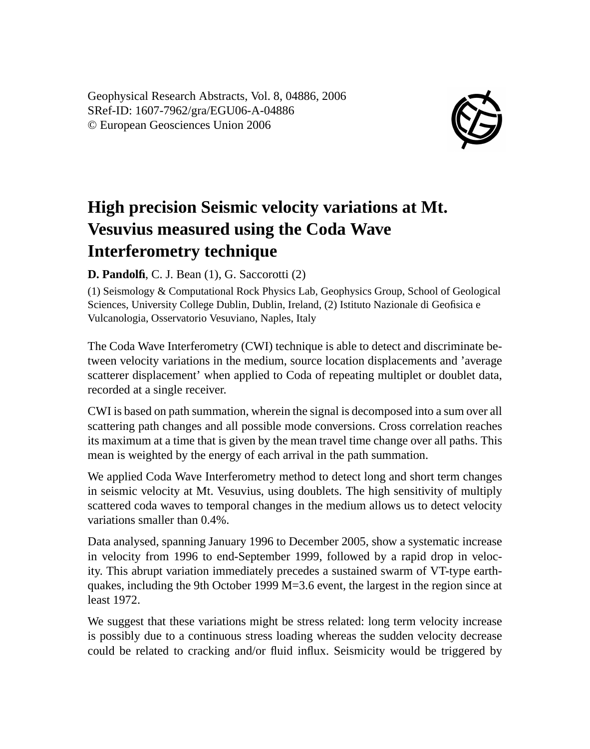Geophysical Research Abstracts, Vol. 8, 04886, 2006 SRef-ID: 1607-7962/gra/EGU06-A-04886 © European Geosciences Union 2006



## **High precision Seismic velocity variations at Mt. Vesuvius measured using the Coda Wave Interferometry technique**

**D. Pandolfi**, C. J. Bean (1), G. Saccorotti (2)

(1) Seismology & Computational Rock Physics Lab, Geophysics Group, School of Geological Sciences, University College Dublin, Dublin, Ireland, (2) Istituto Nazionale di Geofisica e Vulcanologia, Osservatorio Vesuviano, Naples, Italy

The Coda Wave Interferometry (CWI) technique is able to detect and discriminate between velocity variations in the medium, source location displacements and 'average scatterer displacement' when applied to Coda of repeating multiplet or doublet data, recorded at a single receiver.

CWI is based on path summation, wherein the signal is decomposed into a sum over all scattering path changes and all possible mode conversions. Cross correlation reaches its maximum at a time that is given by the mean travel time change over all paths. This mean is weighted by the energy of each arrival in the path summation.

We applied Coda Wave Interferometry method to detect long and short term changes in seismic velocity at Mt. Vesuvius, using doublets. The high sensitivity of multiply scattered coda waves to temporal changes in the medium allows us to detect velocity variations smaller than 0.4%.

Data analysed, spanning January 1996 to December 2005, show a systematic increase in velocity from 1996 to end-September 1999, followed by a rapid drop in velocity. This abrupt variation immediately precedes a sustained swarm of VT-type earthquakes, including the 9th October 1999 M=3.6 event, the largest in the region since at least 1972.

We suggest that these variations might be stress related: long term velocity increase is possibly due to a continuous stress loading whereas the sudden velocity decrease could be related to cracking and/or fluid influx. Seismicity would be triggered by